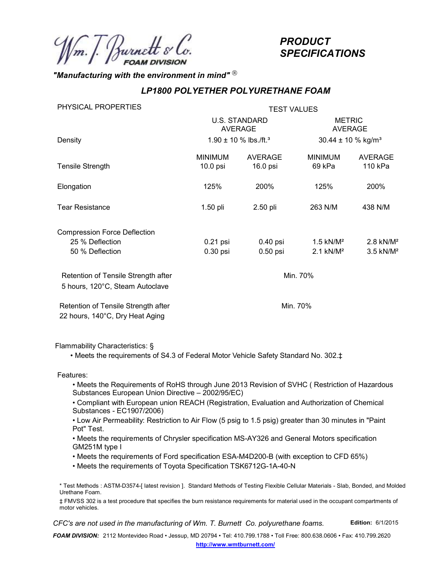## "Manufacturing with the environment in mind"  $^{\circledR}$

## LP1800 POLYETHER POLYURETHANE FOAM

|                                                                        |                                        |                                    | <b>PRODUCT</b><br><b>SPECIFICATIONS</b>            |                                                    |  |
|------------------------------------------------------------------------|----------------------------------------|------------------------------------|----------------------------------------------------|----------------------------------------------------|--|
| "Manufacturing with the environment in mind" $^\circledR$              |                                        |                                    |                                                    |                                                    |  |
|                                                                        |                                        | LP1800 POLYETHER POLYURETHANE FOAM |                                                    |                                                    |  |
| PHYSICAL PROPERTIES                                                    | <b>TEST VALUES</b>                     |                                    |                                                    |                                                    |  |
|                                                                        | <b>U.S. STANDARD</b><br><b>AVERAGE</b> |                                    | <b>METRIC</b><br>AVERAGE                           |                                                    |  |
| Density                                                                | 1.90 ± 10 % lbs./ft. <sup>3</sup>      |                                    | 30.44 ± 10 % kg/m <sup>3</sup>                     |                                                    |  |
| <b>Tensile Strength</b>                                                | <b>MINIMUM</b><br>10.0 psi             | <b>AVERAGE</b><br>16.0 psi         | <b>MINIMUM</b><br>69 kPa                           | <b>AVERAGE</b><br>110 kPa                          |  |
| Elongation                                                             | 125%                                   | 200%                               | 125%                                               | 200%                                               |  |
| <b>Tear Resistance</b>                                                 | 1.50 pli                               | 2.50 pli                           | 263 N/M                                            | 438 N/M                                            |  |
| <b>Compression Force Deflection</b>                                    |                                        |                                    |                                                    |                                                    |  |
| 25 % Deflection<br>50 % Deflection                                     | 0.21 psi<br>0.30 psi                   | $0.40$ psi<br>0.50 psi             | $1.5$ kN/M <sup>2</sup><br>$2.1$ kN/M <sup>2</sup> | $2.8$ kN/M <sup>2</sup><br>$3.5$ kN/M <sup>2</sup> |  |
| Retention of Tensile Strength after<br>5 hours, 120°C, Steam Autoclave |                                        | Min. 70%                           |                                                    |                                                    |  |
| Retention of Tensile Strength after<br>22 hours, 140°C, Dry Heat Aging |                                        |                                    | Min. 70%                                           |                                                    |  |

Flammability Characteristics: §

• Meets the requirements of S4.3 of Federal Motor Vehicle Safety Standard No. 302.‡

Features:

• Meets the Requirements of RoHS through June 2013 Revision of SVHC ( Restriction of Hazardous Substances European Union Directive – 2002/95/EC)

• Compliant with European union REACH (Registration, Evaluation and Authorization of Chemical Substances - EC1907/2006)

• Low Air Permeability: Restriction to Air Flow (5 psig to 1.5 psig) greater than 30 minutes in "Paint Pot" Test.

• Meets the requirements of Chrysler specification MS-AY326 and General Motors specification GM251M type I

• Meets the requirements of Ford specification ESA-M4D200-B (with exception to CFD 65%)

• Meets the requirements of Toyota Specification TSK6712G-1A-40-N

‡ FMVSS 302 is a test procedure that specifies the burn resistance requirements for material used in the occupant compartments of motor vehicles.

CFC's are not used in the manufacturing of Wm. T. Burnett Co. polyurethane foams. Edition: 6/1/2015

FOAM DIVISION: 2112 Montevideo Road • Jessup, MD 20794 • Tel: 410.799.1788 • Toll Free: 800.638.0606 • Fax: 410.799.2620 http://www.wmtburnett.com/

<sup>\*</sup> Test Methods : ASTM-D3574-[ latest revision ]. Standard Methods of Testing Flexible Cellular Materials - Slab, Bonded, and Molded Urethane Foam.